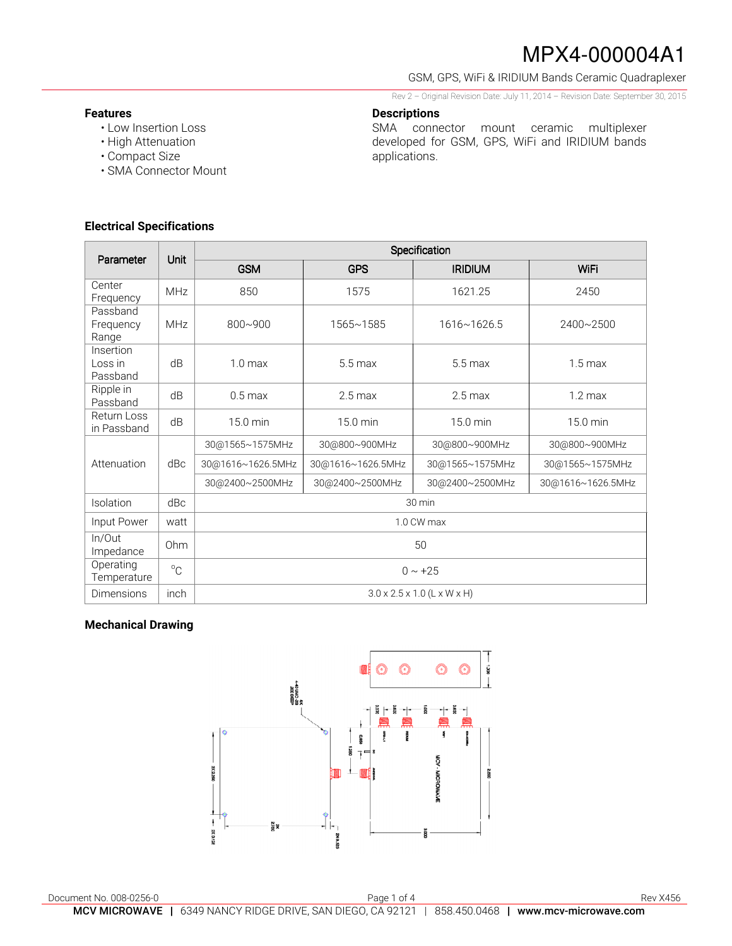GSM, GPS, WiFi & IRIDIUM Bands Ceramic Quadraplexer

Rev 2 – Original Revision Date: July 11, 2014 – Revision Date: September 30, 2015

SMA connector mount ceramic multiplexer developed for GSM, GPS, WiFi and IRIDIUM bands

#### **Features**

- Low Insertion Loss
- High Attenuation
- Compact Size
- SMA Connector Mount

#### **Electrical Specifications**

| Parameter                        | Unit        | Specification                           |                   |                 |                   |
|----------------------------------|-------------|-----------------------------------------|-------------------|-----------------|-------------------|
|                                  |             | <b>GSM</b>                              | <b>GPS</b>        | <b>IRIDIUM</b>  | WiFi              |
| Center<br>Frequency              | <b>MHz</b>  | 850                                     | 1575              | 1621.25         | 2450              |
| Passband<br>Frequency<br>Range   | <b>MHz</b>  | $800 - 900$                             | 1565~1585         | 1616~1626.5     | 2400~2500         |
| Insertion<br>Loss in<br>Passband | dB          | 1.0 <sub>max</sub>                      | $5.5$ max         | $5.5$ max       | $1.5 \text{ max}$ |
| Ripple in<br>Passband            | dB          | $0.5 \text{ max}$                       | $2.5$ max         | $2.5$ max       | $1.2 \text{ max}$ |
| Return Loss<br>in Passband       | dB          | 15.0 min                                | 15.0 min          | 15.0 min        | 15.0 min          |
| Attenuation                      | dBc         | 30@1565~1575MHz                         | 30@800~900MHz     | 30@800~900MHz   | 30@800~900MHz     |
|                                  |             | 30@1616~1626.5MHz                       | 30@1616~1626.5MHz | 30@1565~1575MHz | 30@1565~1575MHz   |
|                                  |             | 30@2400~2500MHz                         | 30@2400~2500MHz   | 30@2400~2500MHz | 30@1616~1626.5MHz |
| Isolation                        | dBc         | 30 min                                  |                   |                 |                   |
| Input Power                      | watt        | 1.0 CW max                              |                   |                 |                   |
| In/Out<br>Impedance              | Ohm         | 50                                      |                   |                 |                   |
| Operating<br>Temperature         | $^{\circ}C$ | $0 \sim +25$                            |                   |                 |                   |
| <b>Dimensions</b>                | inch        | $3.0 \times 2.5 \times 1.0$ (L x W x H) |                   |                 |                   |

**Descriptions** 

applications.

### **Mechanical Drawing**

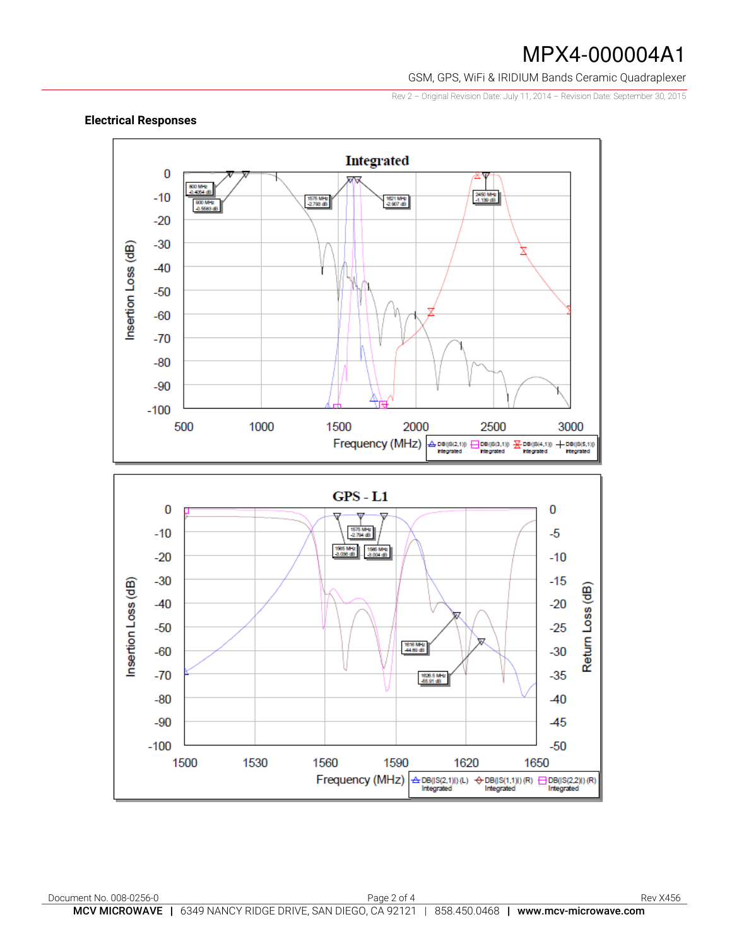GSM, GPS, WiFi & IRIDIUM Bands Ceramic Quadraplexer

Rev 2 – Original Revision Date: July 11, 2014 – Revision Date: September 30, 2015



### **Electrical Responses**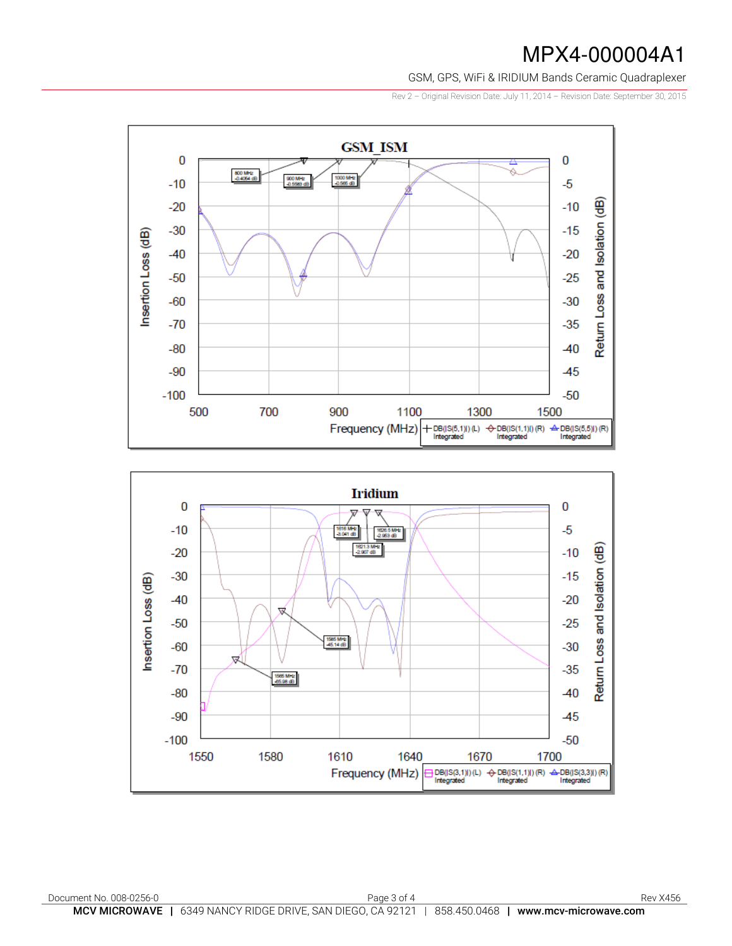GSM, GPS, WiFi & IRIDIUM Bands Ceramic Quadraplexer

Rev 2 – Original Revision Date: July 11, 2014 – Revision Date: September 30, 2015